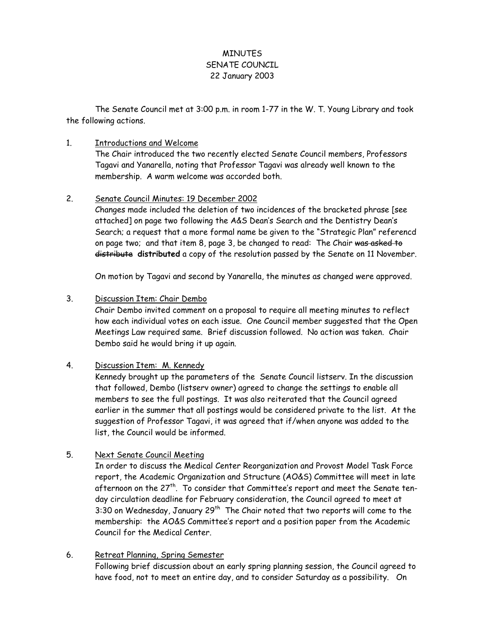# **MINUTES** SENATE COUNCIL 22 January 2003

 The Senate Council met at 3:00 p.m. in room 1-77 in the W. T. Young Library and took the following actions.

### 1. Introductions and Welcome

The Chair introduced the two recently elected Senate Council members, Professors Tagavi and Yanarella, noting that Professor Tagavi was already well known to the membership. A warm welcome was accorded both.

#### 2. Senate Council Minutes: 19 December 2002

Changes made included the deletion of two incidences of the bracketed phrase [see attached] on page two following the A&S Dean's Search and the Dentistry Dean's Search; a request that a more formal name be given to the "Strategic Plan" referencd on page two; and that item 8, page 3, be changed to read: The Chair was asked to distribute **distributed** a copy of the resolution passed by the Senate on 11 November.

On motion by Tagavi and second by Yanarella, the minutes as changed were approved.

### 3. Discussion Item: Chair Dembo

Chair Dembo invited comment on a proposal to require all meeting minutes to reflect how each individual votes on each issue. One Council member suggested that the Open Meetings Law required same. Brief discussion followed. No action was taken. Chair Dembo said he would bring it up again.

#### 4. Discussion Item: M. Kennedy

Kennedy brought up the parameters of the Senate Council listserv. In the discussion that followed, Dembo (listserv owner) agreed to change the settings to enable all members to see the full postings. It was also reiterated that the Council agreed earlier in the summer that all postings would be considered private to the list. At the suggestion of Professor Tagavi, it was agreed that if/when anyone was added to the list, the Council would be informed.

# 5. Next Senate Council Meeting

In order to discuss the Medical Center Reorganization and Provost Model Task Force report, the Academic Organization and Structure (AO&S) Committee will meet in late afternoon on the 27<sup>th</sup>. To consider that Committee's report and meet the Senate tenday circulation deadline for February consideration, the Council agreed to meet at 3:30 on Wednesday, January 29<sup>th</sup> The Chair noted that two reports will come to the membership: the AO&S Committee's report and a position paper from the Academic Council for the Medical Center.

#### 6. Retreat Planning, Spring Semester

Following brief discussion about an early spring planning session, the Council agreed to have food, not to meet an entire day, and to consider Saturday as a possibility. On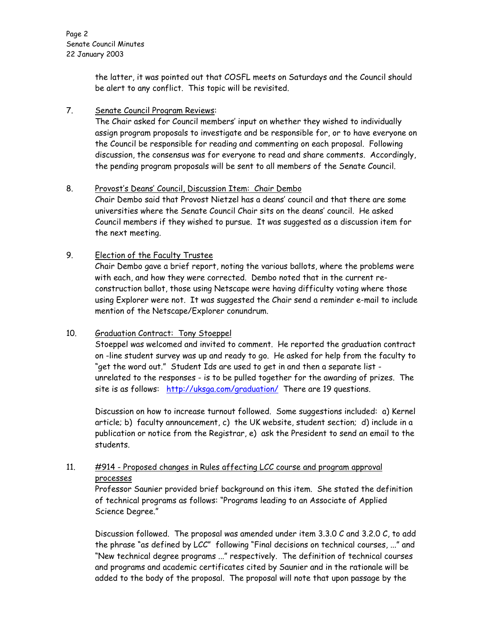the latter, it was pointed out that COSFL meets on Saturdays and the Council should be alert to any conflict. This topic will be revisited.

## 7. Senate Council Program Reviews:

The Chair asked for Council members' input on whether they wished to individually assign program proposals to investigate and be responsible for, or to have everyone on the Council be responsible for reading and commenting on each proposal. Following discussion, the consensus was for everyone to read and share comments. Accordingly, the pending program proposals will be sent to all members of the Senate Council.

### 8. Provost's Deans' Council, Discussion Item: Chair Dembo

Chair Dembo said that Provost Nietzel has a deans' council and that there are some universities where the Senate Council Chair sits on the deans' council. He asked Council members if they wished to pursue. It was suggested as a discussion item for the next meeting.

# 9. Election of the Faculty Trustee

Chair Dembo gave a brief report, noting the various ballots, where the problems were with each, and how they were corrected. Dembo noted that in the current reconstruction ballot, those using Netscape were having difficulty voting where those using Explorer were not. It was suggested the Chair send a reminder e-mail to include mention of the Netscape/Explorer conundrum.

# 10. Graduation Contract: Tony Stoeppel

Stoeppel was welcomed and invited to comment. He reported the graduation contract on -line student survey was up and ready to go. He asked for help from the faculty to "get the word out." Student Ids are used to get in and then a separate list unrelated to the responses - is to be pulled together for the awarding of prizes. The site is as follows: http://uksga.com/graduation/ There are 19 questions.

Discussion on how to increase turnout followed. Some suggestions included: a) Kernel article; b) faculty announcement, c) the UK website, student section; d) include in a publication or notice from the Registrar, e) ask the President to send an email to the students.

# 11. #914 - Proposed changes in Rules affecting LCC course and program approval processes

 Professor Saunier provided brief background on this item. She stated the definition of technical programs as follows: "Programs leading to an Associate of Applied Science Degree."

Discussion followed. The proposal was amended under item 3.3.0 C and 3.2.0 C, to add the phrase "as defined by LCC" following "Final decisions on technical courses, ..." and "New technical degree programs ..." respectively. The definition of technical courses and programs and academic certificates cited by Saunier and in the rationale will be added to the body of the proposal. The proposal will note that upon passage by the